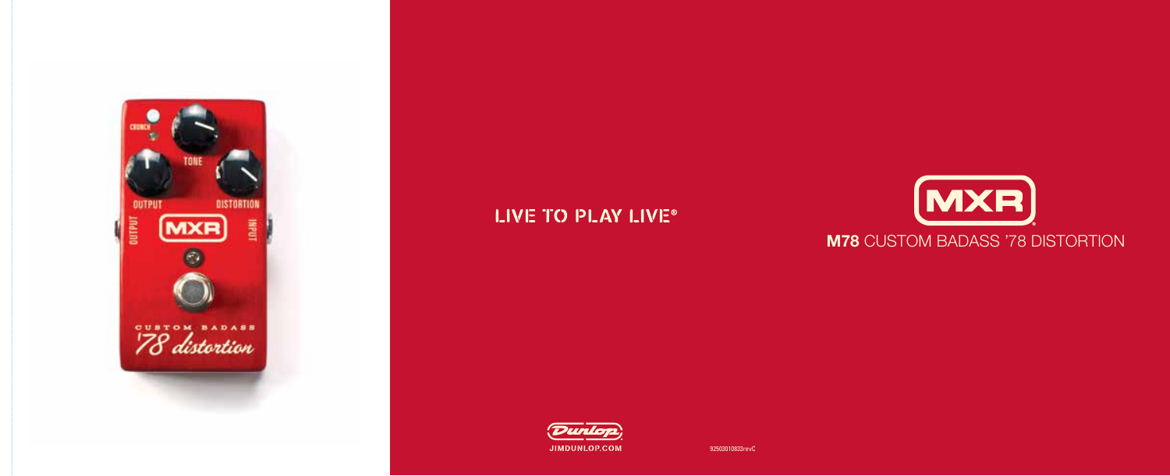

# LIVE TO PLAY LIVE®



## **M78** CUSTOM BADASS '78 DISTORTION



92503010833revC